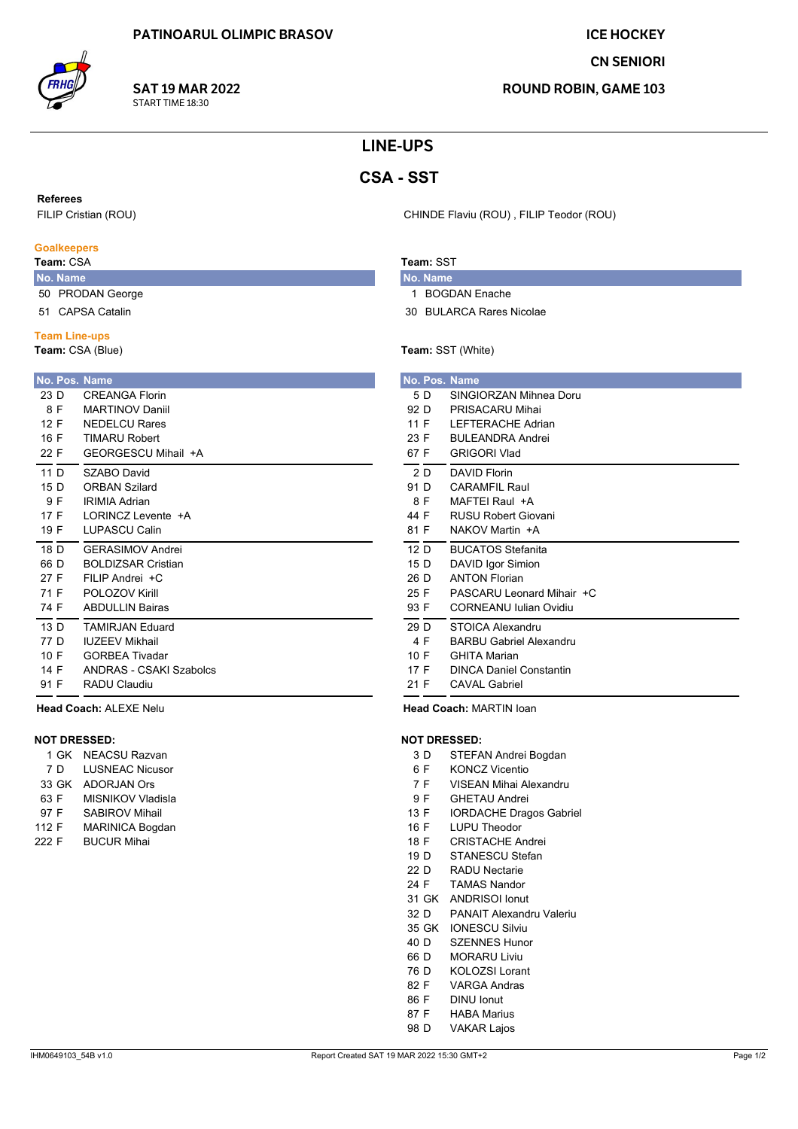**SAT 19 MAR 2022** 

START TIME 18:30

**ICE HOCKEY** 

**CN SENIORI** 

**ROUND ROBIN, GAME 103** 

# **LINE-UPS**

# **CSA - SST**

**Referees** 

FILIP Cristian (ROU)

#### **Goalkeepers**

### Team: CSA

- No. Name 50 PRODAN George
- 51 CAPSA Catalin
- **Team Line-ups**

#### Team: CSA (Blue)

| <b>No. Pos. Name</b><br>23 D<br>8 F<br>12 F<br>16 F<br>22 F | CRFANGA Florin<br><b>MARTINOV Daniil</b><br>NEDEL CU Rares<br><b>TIMARU Robert</b><br>GFORGESCU Mihail +A |
|-------------------------------------------------------------|-----------------------------------------------------------------------------------------------------------|
| 11 $\Gamma$                                                 | SZABO David                                                                                               |
| 15 $D$                                                      | <b>ORBAN Szilard</b>                                                                                      |
| 9 F                                                         | <b>IRIMIA Adrian</b>                                                                                      |
| 17 F                                                        | I ORINCZ Levente +A                                                                                       |
| 19 F                                                        | <b>I UPASCU Calin</b>                                                                                     |
| 18 D                                                        | <b>GFRASIMOV Andrei</b>                                                                                   |
| 66 D                                                        | <b>BOLDIZSAR Cristian</b>                                                                                 |
| 27 F                                                        | FII IP Andrei +C                                                                                          |
| 71 F                                                        | POLOZOV Kirill                                                                                            |
| 74 F                                                        | <b>ABDULLIN Bairas</b>                                                                                    |
| 13 <sub>D</sub>                                             | <b>TAMIRJAN Fduard</b>                                                                                    |
| 77 D                                                        | <b>IUZEEV Mikhail</b>                                                                                     |
| 10 F                                                        | <b>GORBEA Tivadar</b>                                                                                     |
| 14 F                                                        | ANDRAS - CSAKI Szabolcs                                                                                   |
| 91 F                                                        | RADU Claudiu                                                                                              |

Head Coach: ALEXE Nelu

### **NOT DRESSED:**

|       | 1 GK  | <b>NEACSU Razvan</b>     |
|-------|-------|--------------------------|
|       | 7 D   | <b>LUSNEAC Nicusor</b>   |
|       | 33 GK | <b>ADORJAN Ors</b>       |
| 63 F  |       | <b>MISNIKOV Vladisla</b> |
| 97 F  |       | <b>SABIROV Mihail</b>    |
| 112 F |       | <b>MARINICA Bogdan</b>   |
| 222 F |       | <b>BUCUR Mihai</b>       |

CHINDE Flaviu (ROU), FILIP Teodor (ROU)

### Team: SST

- No. Name 1 BOGDAN Enache
- 30 BULARCA Rares Nicolae

#### Team: SST (White)

|                 |     | No. Pos. Name                  |
|-----------------|-----|--------------------------------|
|                 | 5 D | SINGIORZAN Mihnea Doru         |
| 92 D            |     | PRISACARU Mihai                |
| 11 F            |     | <b>I FFTFRACHF Adrian</b>      |
| 23 F            |     | <b>BULEANDRA Andrei</b>        |
| 67 F            |     | <b>GRIGORI Vlad</b>            |
|                 | 2 D | <b>DAVID Florin</b>            |
| 91 D            |     | CARAMEII Raul                  |
|                 | 8 F | MAFTFI Raul +A                 |
| 44 F            |     | <b>RUSU Robert Giovani</b>     |
| 81 F            |     | NAKOV Martin +A                |
| 12 <sub>D</sub> |     | <b>BUCATOS Stefanita</b>       |
| 15 D            |     | DAVID Igor Simion              |
| 26 D            |     | <b>ANTON Florian</b>           |
| 25 F            |     | PASCARU Leonard Mihair +C      |
| 93 F            |     | CORNEANU Julian Ovidiu         |
| 29 D            |     | STOICA Alexandru               |
|                 | 4 F | <b>BARBU Gabriel Alexandru</b> |
| 10 F            |     | <b>GHITA Marian</b>            |
| 17 F            |     | <b>DINCA Daniel Constantin</b> |
| 21 F            |     |                                |

Head Coach: MARTIN loan

#### **NOT DRESSED:**

- $3D$ STEFAN Andrei Bogdan
- $6F$ **KONCZ Vicentio**
- VISEAN Mihai Alexandru  $7F$
- 9F **GHETAU Andrei**
- 13 F **IORDACHE Dragos Gabriel**
- LUPU Theodor 16 F
- 18 F **CRISTACHE Andrei**
- STANESCU Stefan  $19D$
- $22D$ **RADU Nectarie**
- 24 F **TAMAS Nandor** 31 GK ANDRISOI Ionut
- PANAIT Alexandru Valeriu 32 D
- 35 GK IONESCU Silviu
- SZENNES Hunor  $40<sub>D</sub>$
- 66 D **MORARU Liviu**
- 76 D **KOLOZSI Lorant**
- 82 F **VARGA Andras**
- **DINU lonut** 86 F
- 87 F **HABA Marius**
- 98 D **VAKAR Lajos**
-